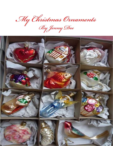*My Christmas Ornaments*

*ByJenny Dee*

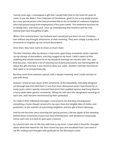Twenty years ago, I unwrapped a gift that I would hold close to my heart for years to come. It was the Bride's Tree Collection of Ornaments, given to me at my bridal shower by a very special person who had presented this to me on behalf of a beloved neighbor, who had passed away from emphysema a few years earlier. The sentiment touched me so deeply then, and every year, I tear up remembering that moment and the love behind that most thoughtful of gifts.

When I first received them, my husband and I would just put them on our Christmas tree without any thought whatsoever to their meaning. They were simply a pretty set of ornaments to brighten up our annual decorations.

Since then, they have come to mean so much more.

The first Christmas after my divorce, I had come upon these ornaments when I opened up my storage of decorations, and they tugged at my heart. I didn't expect to find anything that would remind me of my dissolved marriage ten months later. See, over that last year, I had done a lot of cleaning out of joint possessions, but had forgotten all about this gift and how it was meant to bless our union. Another reminder that forever had come to an end prematurely.

But they were from someone special, with a deeper meaning, and I could not bear to part with them.

Instead, I chose to look closer at the ornaments; at the beautifully, intricately designed see-through box that held them. It was then that I discovered what I had missed for so many years, when I quickly removed them from their padded squares and hung them in a hurry aside other generic ornaments. Along the side were the designated meanings of each one, and I became mesmerized by their symbolism.

As I took in their individual messages, it occurred to me that they encompassed everything a home should consist of in my eyes, from the tangible idea of shelter and protection, to the warmth of welcoming neighbors and the gift of God's blessings.

And for the first time since receiving this special present, I felt the depth of the meaning behind these ornaments of pure love and remembrance, and decided to consciously honor each one as it took its spot upon a branch.

As I placed each one on the tree with love in my heart, I read what it stood for, thought about what that meant for me, then closed my eyes and visualized how I saw each in my life, ending each thought with gratitude for the blessing to come.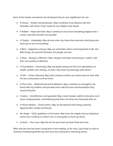Each of the twelve ornaments has developed into its own significance for me:

- A House Shelter and protection. May I continue to be blessed with this beautiful, safe home I have made for my children and myself.
- A Rabbit Hope and faith. May I continue to trust that everything happens for a reason, and that miracles are possible.
- A Teapot Hospitality. May all who enter my home feel welcome and bring even more joy to our surroundings.
- A Bird Happiness and joy. May we remember what's most important in life: the little things, the present moment, the people we love.
- A Rose Beauty & Affection. May I always remember that beauty is within, and that I am worthy of affection.
- A Fruit Basket Generosity. May my basket always be full of an abundance of health, wealth, love and joy, so that I may share my blessings with others.
- A Fish Christ's blessing. May God continue to bless our home and our lives with His love and protect us from harm.
- A Pine Cone Motherhood and fruitfulness. May I continue to strengthen my bond with my children and provide them with the love and foundation they need to flourish.
- A Santa Unselfishness and goodwill. May I reach deeper within to become even more compassionate, remembering that there are those less fortunate than us.
- A Flower Basket Good wishes. May we be blessed with loving surprises, opportunities, family and friends.
- An Angel God's guidance in the home. May God, the angels and our departed loved ones continue to watch over us and guide us from up above.
- A Heart True Love. May this be the year that my heart finds true love.

Well, that last one has been a long time in the making, so for now, I just have to wish to continue treating myself like my own true love until prince charming arrives.